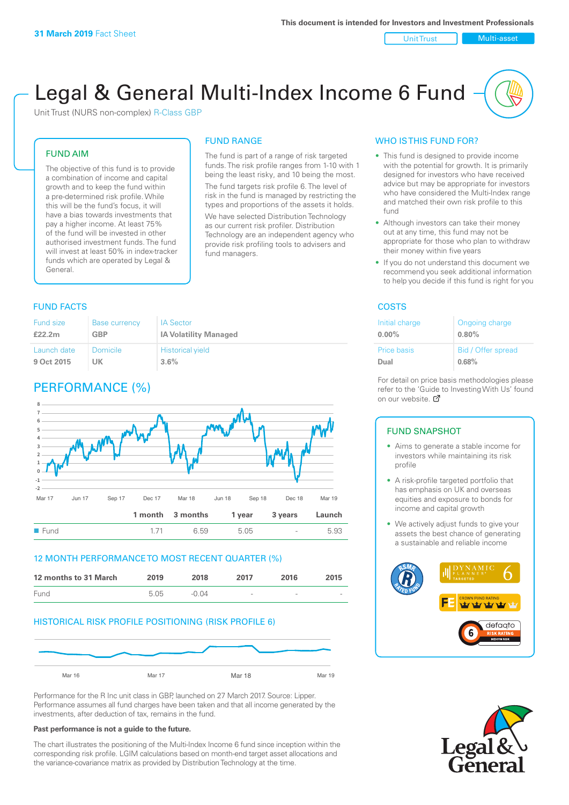Unit Trust Nulti-asset

# Legal & General Multi-Index Income 6 Fund

Unit Trust (NURS non-complex) R-Class GBP

#### FUND AIM

The objective of this fund is to provide a combination of income and capital growth and to keep the fund within a pre-determined risk profile. While this will be the fund's focus, it will have a bias towards investments that pay a higher income. At least 75% of the fund will be invested in other authorised investment funds. The fund will invest at least 50% in index-tracker funds which are operated by Legal & General.

## FUND RANGE

The fund is part of a range of risk targeted funds. The risk profile ranges from 1-10 with 1 being the least risky, and 10 being the most. The fund targets risk profile 6. The level of risk in the fund is managed by restricting the types and proportions of the assets it holds.

We have selected Distribution Technology as our current risk profiler. Distribution Technology are an independent agency who provide risk profiling tools to advisers and fund managers.

#### **FUND FACTS** COSTS

| Fund size   | <b>Base currency</b> | <b>IA Sector</b>             |
|-------------|----------------------|------------------------------|
| £22.2m      | GBP                  | <b>IA Volatility Managed</b> |
| Launch date | Domicile             | <b>Historical yield</b>      |
| 9 Oct 2015  | UK                   | $3.6\%$                      |

### PERFORMANCE (%)



#### 12 MONTH PERFORMANCE TO MOST RECENT QUARTER (%)



#### HISTORICAL RISK PROFILE POSITIONING (RISK PROFILE 6)



Performance for the R Inc unit class in GBP, launched on 27 March 2017. Source: Lipper. Performance assumes all fund charges have been taken and that all income generated by the investments, after deduction of tax, remains in the fund.

#### **Past performance is not a guide to the future.**

The chart illustrates the positioning of the Multi-Index Income 6 fund since inception within the corresponding risk profile. LGIM calculations based on month-end target asset allocations and the variance-covariance matrix as provided by Distribution Technology at the time.

#### WHO IS THIS FUND FOR?

- This fund is designed to provide income with the potential for growth. It is primarily designed for investors who have received advice but may be appropriate for investors who have considered the Multi-Index range and matched their own risk profile to this fund
- Although investors can take their money out at any time, this fund may not be appropriate for those who plan to withdraw their money within five years
- If you do not understand this document we recommend you seek additional information to help you decide if this fund is right for you

| Initial charge | Ongoing charge     |
|----------------|--------------------|
| $0.00\%$       | 0.80%              |
| Price basis    | Bid / Offer spread |
| Dual           | 0.68%              |

For detail on price basis methodologies please refer to the 'Gu[ide t](http://www.legalandgeneral.com/guide)o Investing With Us' found on our website. Ø

#### FUND SNAPSHOT

- Aims to generate a stable income for investors while maintaining its risk profile
- A risk-profile targeted portfolio that has emphasis on UK and overseas equities and exposure to bonds for income and capital growth
- We actively adjust funds to give your assets the best chance of generating a sustainable and reliable income



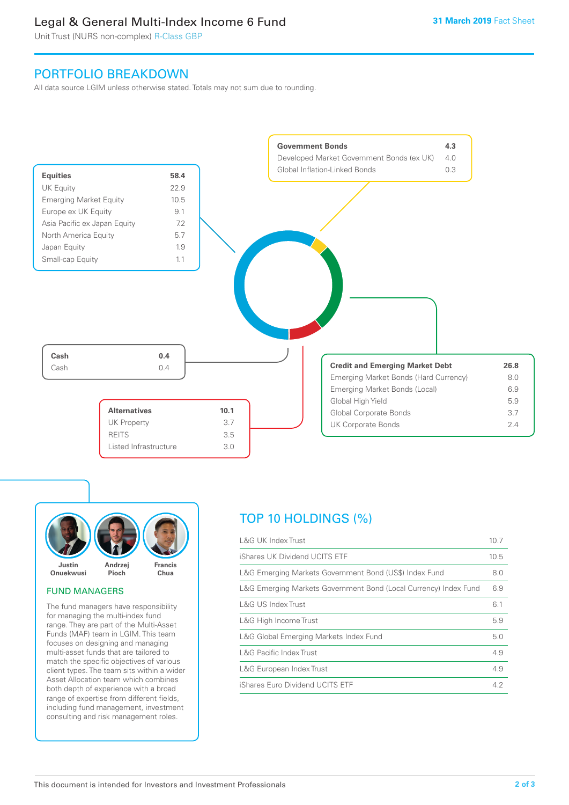### Legal & General Multi-Index Income 6 Fund

Unit Trust (NURS non-complex) R-Class GBP

### PORTFOLIO BREAKDOWN

All data source LGIM unless otherwise stated. Totals may not sum due to rounding.





#### FUND MANAGERS

The fund managers have responsibility for managing the multi-index fund range. They are part of the Multi-Asset Funds (MAF) team in LGIM. This team focuses on designing and managing multi-asset funds that are tailored to match the specific objectives of various client types. The team sits within a wider Asset Allocation team which combines both depth of experience with a broad range of expertise from different fields, including fund management, investment consulting and risk management roles.

### TOP 10 HOLDINGS (%)

| <b>L&amp;G UK Index Trust</b>                                    | 10.7 |
|------------------------------------------------------------------|------|
| iShares UK Dividend UCITS ETF                                    | 10.5 |
| L&G Emerging Markets Government Bond (US\$) Index Fund           | 8.0  |
| L&G Emerging Markets Government Bond (Local Currency) Index Fund | 6.9  |
| <b>L&amp;G US Index Trust</b>                                    | 6.1  |
| L&G High Income Trust                                            | 5.9  |
| L&G Global Emerging Markets Index Fund                           | 5.0  |
| <b>L&amp;G Pacific Index Trust</b>                               | 4.9  |
| L&G European Index Trust                                         | 4.9  |
| iShares Euro Dividend UCITS ETF                                  | 4.2  |